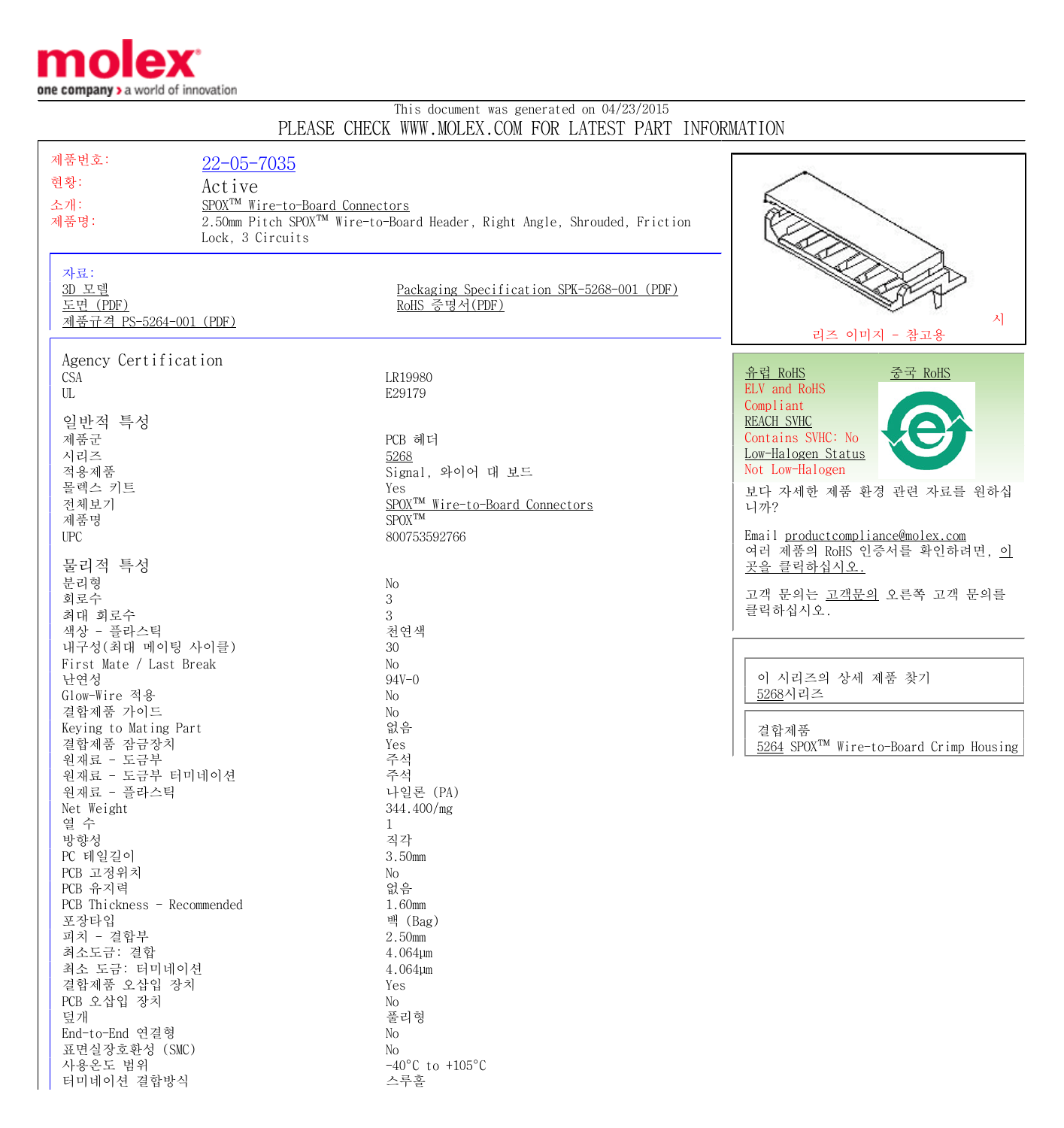

터미네이션 결합방식 스루홀

## This document was generated on 04/23/2015 PLEASE CHECK WWW.MOLEX.COM FOR LATEST PART INFORMATION

| 제품번호:                        | $22 - 05 - 7035$                            |                                                                                      |                                                     |
|------------------------------|---------------------------------------------|--------------------------------------------------------------------------------------|-----------------------------------------------------|
| 현황:                          |                                             |                                                                                      |                                                     |
| Active                       |                                             |                                                                                      |                                                     |
| 소개:<br>제품명:                  | SPOX <sup>TM</sup> Wire-to-Board Connectors | 2.50mm Pitch SPOX <sup>™</sup> Wire-to-Board Header, Right Angle, Shrouded, Friction |                                                     |
|                              | Lock, 3 Circuits                            |                                                                                      |                                                     |
|                              |                                             |                                                                                      |                                                     |
| 자료:                          |                                             |                                                                                      |                                                     |
| 3D 모델                        |                                             | Packaging Specification SPK-5268-001 (PDF)                                           |                                                     |
| 도면 (PDF)                     |                                             | RoHS 증명서(PDF)                                                                        |                                                     |
| 제품규격 PS-5264-001 (PDF)       |                                             |                                                                                      | 시                                                   |
| 리즈 이미지 - 참고용                 |                                             |                                                                                      |                                                     |
| Agency Certification         |                                             |                                                                                      |                                                     |
| <b>CSA</b>                   |                                             | LR19980                                                                              | <u>유럽 RoHS</u><br><u>중국 RoHS</u>                    |
| UL                           |                                             | E29179                                                                               | ELV and RoHS                                        |
|                              |                                             |                                                                                      | Compliant                                           |
| 일반적 특성                       |                                             |                                                                                      | REACH SVHC                                          |
| 제품군                          |                                             | PCB 헤더                                                                               | Contains SVHC: No                                   |
| 시리즈                          |                                             | 5268                                                                                 | Low-Halogen Status                                  |
| 적용제품                         |                                             | Signal, 와이어 대 보드                                                                     | Not Low-Halogen                                     |
| 몰렉스 키트                       |                                             | Yes                                                                                  | 보다 자세한 제품 환경 관련 자료를 원하십                             |
| 전체보기                         |                                             | SPOX <sup>TM</sup> Wire-to-Board Connectors                                          | 니까?                                                 |
| 제품명                          |                                             | ${\rm SPOX}^{\rm TM}$                                                                | Email productcompliance@molex.com                   |
| <b>UPC</b>                   |                                             | 800753592766                                                                         | 여러 제품의 RoHS 인증서를 확인하려면, 이                           |
| 물리적 특성                       |                                             |                                                                                      | 곳을 클릭하십시오.                                          |
| 분리형                          |                                             | No                                                                                   |                                                     |
| 회로수                          |                                             | 3                                                                                    | 고객 문의는 고객문의 오른쪽 고객 문의를                              |
| 최대 회로수                       |                                             | 3                                                                                    | 클릭하십시오.                                             |
| 색상 - 플라스틱                    |                                             | 천연색                                                                                  |                                                     |
| 내구성 (최대 메이팅 사이클)             |                                             | 30                                                                                   |                                                     |
| First Mate / Last Break      |                                             | No                                                                                   |                                                     |
| 난연성                          |                                             | $94V - 0$                                                                            | 이 시리즈의 상세 제품 찾기                                     |
| Glow-Wire 적용                 |                                             | No                                                                                   | 5268시리즈                                             |
| 결합제품 가이드                     |                                             | No                                                                                   |                                                     |
| Keying to Mating Part        |                                             | 없음                                                                                   | 결합제품                                                |
| 결합제품 잠금장치                    |                                             | Yes                                                                                  | 5264 SPOX <sup>TM</sup> Wire-to-Board Crimp Housing |
| 원재료 - 도금부<br>원재료 - 도금부 터미네이션 |                                             | 주석<br>주석                                                                             |                                                     |
| 원재료 - 플라스틱                   |                                             | 나일론 (PA)                                                                             |                                                     |
| Net Weight                   |                                             | 344.400/mg                                                                           |                                                     |
| 열 수                          |                                             | $\mathbf{1}$                                                                         |                                                     |
| 방향성                          |                                             | 직각                                                                                   |                                                     |
| PC 테일길이                      |                                             | 3.50mm                                                                               |                                                     |
| PCB 고정위치                     |                                             | No                                                                                   |                                                     |
| PCB 유지력                      |                                             | 없음                                                                                   |                                                     |
| PCB Thickness - Recommended  |                                             | 1.60mm                                                                               |                                                     |
| 포장타입                         |                                             | 백 (Bag)                                                                              |                                                     |
| 피치 - 결합부                     |                                             | 2.50mm                                                                               |                                                     |
| 최소도금: 결합                     |                                             | 4.064µm                                                                              |                                                     |
| 최소 도금: 터미네이션                 |                                             | 4.064µm                                                                              |                                                     |
| 결합제품 오삽입 장치                  |                                             | Yes                                                                                  |                                                     |
| PCB 오삽입 장치<br>덮개             |                                             | No<br>풀리형                                                                            |                                                     |
| End-to-End 연결형               |                                             | No                                                                                   |                                                     |
| 표면실장호환성 (SMC)                |                                             | No                                                                                   |                                                     |
| 사용온도 범위                      |                                             | $-40^{\circ}$ C to $+105^{\circ}$ C                                                  |                                                     |